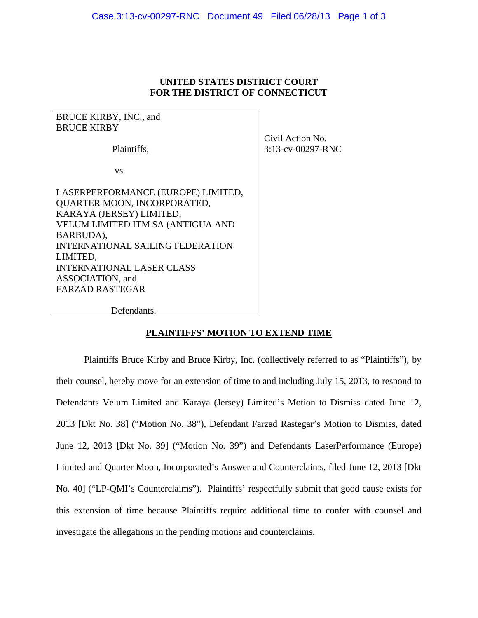## **UNITED STATES DISTRICT COURT FOR THE DISTRICT OF CONNECTICUT**

BRUCE KIRBY, INC., and BRUCE KIRBY

Plaintiffs,

vs.

LASERPERFORMANCE (EUROPE) LIMITED, QUARTER MOON, INCORPORATED, KARAYA (JERSEY) LIMITED, VELUM LIMITED ITM SA (ANTIGUA AND BARBUDA), INTERNATIONAL SAILING FEDERATION LIMITED, INTERNATIONAL LASER CLASS ASSOCIATION, and FARZAD RASTEGAR

Civil Action No. 3:13-cv-00297-RNC

Defendants.

## **PLAINTIFFS' MOTION TO EXTEND TIME**

 Plaintiffs Bruce Kirby and Bruce Kirby, Inc. (collectively referred to as "Plaintiffs"), by their counsel, hereby move for an extension of time to and including July 15, 2013, to respond to Defendants Velum Limited and Karaya (Jersey) Limited's Motion to Dismiss dated June 12, 2013 [Dkt No. 38] ("Motion No. 38"), Defendant Farzad Rastegar's Motion to Dismiss, dated June 12, 2013 [Dkt No. 39] ("Motion No. 39") and Defendants LaserPerformance (Europe) Limited and Quarter Moon, Incorporated's Answer and Counterclaims, filed June 12, 2013 [Dkt No. 40] ("LP-QMI's Counterclaims"). Plaintiffs' respectfully submit that good cause exists for this extension of time because Plaintiffs require additional time to confer with counsel and investigate the allegations in the pending motions and counterclaims.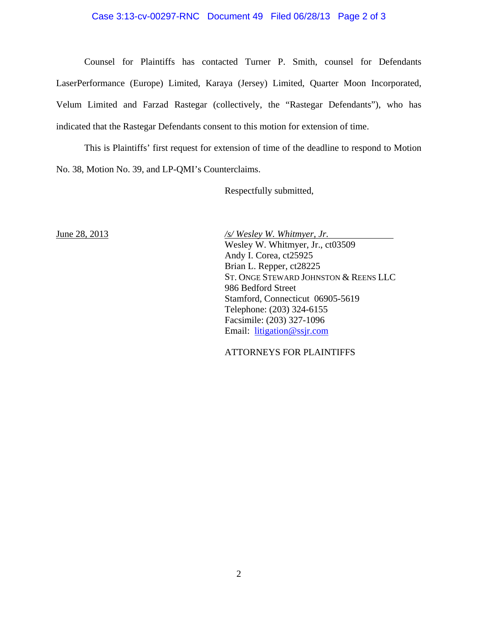## Case 3:13-cv-00297-RNC Document 49 Filed 06/28/13 Page 2 of 3

Counsel for Plaintiffs has contacted Turner P. Smith, counsel for Defendants LaserPerformance (Europe) Limited, Karaya (Jersey) Limited, Quarter Moon Incorporated, Velum Limited and Farzad Rastegar (collectively, the "Rastegar Defendants"), who has indicated that the Rastegar Defendants consent to this motion for extension of time.

This is Plaintiffs' first request for extension of time of the deadline to respond to Motion No. 38, Motion No. 39, and LP-QMI's Counterclaims.

Respectfully submitted,

June 28, 2013 */s/ Wesley W. Whitmyer, Jr.*  Wesley W. Whitmyer, Jr., ct03509 Andy I. Corea, ct25925 Brian L. Repper, ct28225 ST. ONGE STEWARD JOHNSTON & REENS LLC 986 Bedford Street Stamford, Connecticut 06905-5619 Telephone: (203) 324-6155 Facsimile: (203) 327-1096 Email: litigation@ssjr.com

ATTORNEYS FOR PLAINTIFFS